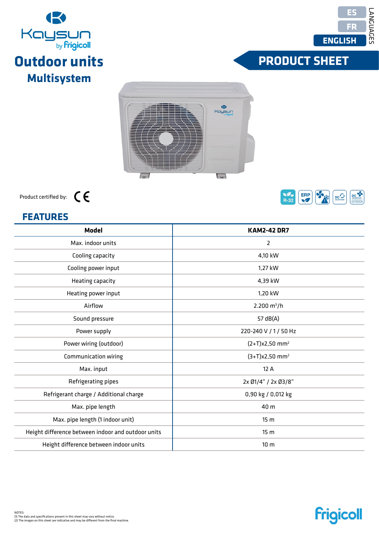Max. pipe length (1 indoor unit) Height difference between indoor and outdoor units Height difference between indoor units

| <b>KAM2-42 DR7</b>           |
|------------------------------|
| 2                            |
| 4,10 kW                      |
| 1,27 kW                      |
| 4,39 kW                      |
| 1,20 kW                      |
| $2.200 \text{ m}^3/h$        |
| 57 dB(A)                     |
| 220-240 V / 1 / 50 Hz        |
| $(2+T)x2,50$ mm <sup>2</sup> |
| $(3+T)x2,50$ mm <sup>2</sup> |
| 12 A                         |
| 2x Ø1/4" / 2x Ø3/8"          |
| 0,90 kg / 0,012 kg           |
| 40 m                         |
|                              |

Product certified by:

#### $$







# **FRODUCT SHEET**



**Frigicoll** 

**KAM2-42 DR7**

15 m 15 m 10 m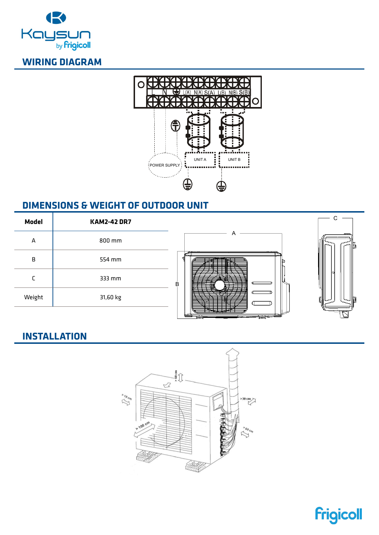



#### **DIMENSIONS & WEIGHT OF OUTDOOR UNIT**





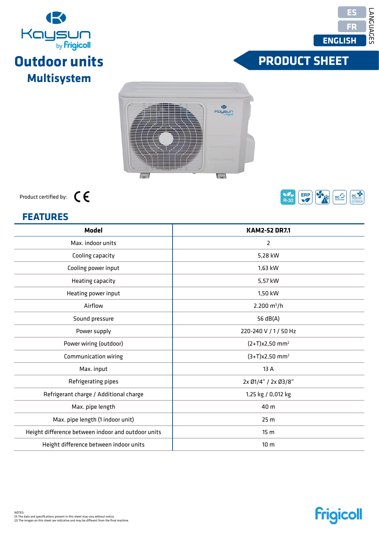| Max. indoor units                      | 2                            |
|----------------------------------------|------------------------------|
| Cooling capacity                       | 5,28 kW                      |
| Cooling power input                    | 1,63 kW                      |
| Heating capacity                       | 5,57 kW                      |
| Heating power input                    | 1,50 kW                      |
| Airflow                                | $2.200 \text{ m}^3/\text{h}$ |
| Sound pressure                         | 56 dB(A)                     |
| Power supply                           | 220-240 V / 1 / 50 Hz        |
| Power wiring (outdoor)                 | $(2+T)x2,50$ mm <sup>2</sup> |
| Communication wiring                   | $(3+T)x2,50$ mm <sup>2</sup> |
| Max. input                             | 13 A                         |
| Refrigerating pipes                    | 2x Ø1/4" / 2x Ø3/8"          |
| Refrigerant charge / Additional charge | 1,25 kg / 0,012 kg           |



**Model Modèle Modelo**

Max. pipe length Max. pipe length (1 indoor unit) Height difference between indoor and outdoor units Height difference between indoor units



# Kaysun<br><sup>by frigical</sup> **Outdoor units Multisystem**



# **FRODUCT SHEET**



**KAM2-52 DR7.1**

40 m 25 m 15 m 10 m

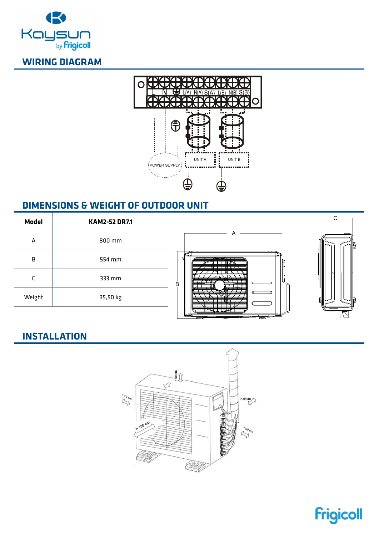



#### **DIMENSIONS & WEIGHT OF OUTDOOR UNIT**





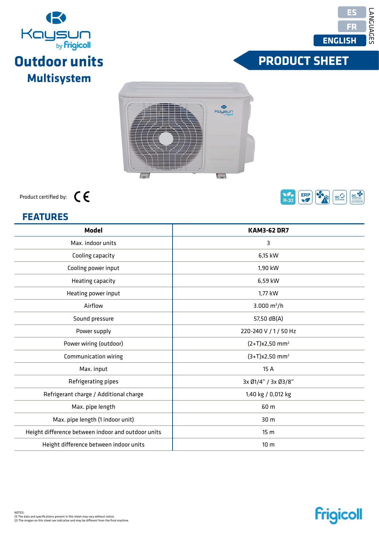Height difference between indoor units

| Max. indoor units                      | 3                            |
|----------------------------------------|------------------------------|
| Cooling capacity                       | 6,15 kW                      |
| Cooling power input                    | 1,90 kW                      |
| Heating capacity                       | 6,59 kW                      |
| Heating power input                    | 1,77 kW                      |
| Airflow                                | 3.000 $m^3/h$                |
| Sound pressure                         | 57,50 dB(A)                  |
| Power supply                           | 220-240 V / 1 / 50 H         |
| Power wiring (outdoor)                 | $(2+T)x2,50$ mm <sup>2</sup> |
| Communication wiring                   | $(3+T)x2,50$ mm <sup>2</sup> |
| Max. input                             | 15 A                         |
| Refrigerating pipes                    | 3x Ø1/4" / 3x Ø3/8'          |
| Refrigerant charge / Additional charge | 1,40 kg / 0,012 kg           |
|                                        |                              |

 $\overline{\phantom{0}}$ 

| Product certified by: |  |
|-----------------------|--|
|                       |  |

| <b>FEATURES</b>                                    |                              |  |
|----------------------------------------------------|------------------------------|--|
| <b>Model</b>                                       | <b>KAM3-62 DR7</b>           |  |
| Max. indoor units                                  | 3                            |  |
| Cooling capacity                                   | 6,15 kW                      |  |
| Cooling power input                                | 1,90 kW                      |  |
| Heating capacity                                   | 6,59 kW                      |  |
| Heating power input                                | 1,77 kW                      |  |
| Airflow                                            | 3.000 $m^3/h$                |  |
| Sound pressure                                     | 57,50 dB(A)                  |  |
| Power supply                                       | 220-240 V / 1 / 50 Hz        |  |
| Power wiring (outdoor)                             | $(2+T)x2,50$ mm <sup>2</sup> |  |
| Communication wiring                               | $(3+T)x2,50$ mm <sup>2</sup> |  |
| Max. input                                         | 15 A                         |  |
| Refrigerating pipes                                | 3x Ø1/4" / 3x Ø3/8"          |  |
| Refrigerant charge / Additional charge             | 1,40 kg / 0,012 kg           |  |
| Max. pipe length                                   | 60 m                         |  |
| Max. pipe length (1 indoor unit)                   | 30 m                         |  |
| Height difference between indoor and outdoor units | 15 <sub>m</sub>              |  |

(B) Kaysun

 $\Box$ 





# **FRODUCT SHEET**







10 m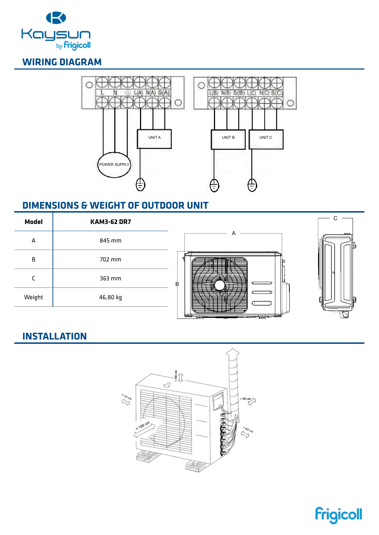



#### **DIMENSIONS & WEIGHT OF OUTDOOR UNIT**

| <b>Model</b> | <b>KAM3-62 DR7</b> |                             |   |
|--------------|--------------------|-----------------------------|---|
| A            | 845 mm             |                             | — |
| B            | 702 mm             |                             |   |
|              | 363 mm             | B<br>--<br>— <del>— —</del> |   |
| Weight       | 46,80 kg           |                             |   |
|              |                    | _______<br>.<br>لسا<br>--   |   |



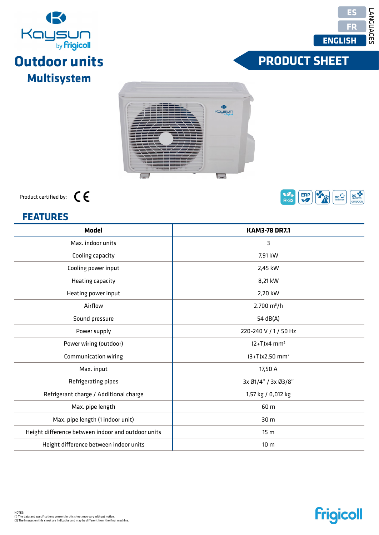| Cooling capacity                       | 7,91 kW                      |
|----------------------------------------|------------------------------|
| Cooling power input                    | 2,45 kW                      |
| Heating capacity                       | 8,21 kW                      |
| Heating power input                    | 2,20 kW                      |
| Airflow                                | $2.700 \text{ m}^3/h$        |
| Sound pressure                         | 54 $dB(A)$                   |
| Power supply                           | 220-240 V / 1 / 50 Hz        |
| Power wiring (outdoor)                 | $(2+T)x4$ mm <sup>2</sup>    |
| Communication wiring                   | $(3+T)x2,50$ mm <sup>2</sup> |
| Max. input                             | 17,50 A                      |
| Refrigerating pipes                    | 3x Ø1/4" / 3x Ø3/8"          |
| Refrigerant charge / Additional charge | 1,57 kg / 0,012 kg           |
|                                        |                              |



**Model Modèle Modelo**Max. indoor units

Max. pipe length Max. pipe length (1 indoor unit) Height difference between indoor and outdoor units Height difference between indoor units

| 표              | Kaysun<br>Kaysun |
|----------------|------------------|
|                |                  |
| 11<br><b>x</b> |                  |
| $\Rightarrow$  | $\overline{a}$   |





# **FRODUCT SHEET**



**KAM3-78 DR7.1** 3

> 60 m 30 m 15 m

10 m

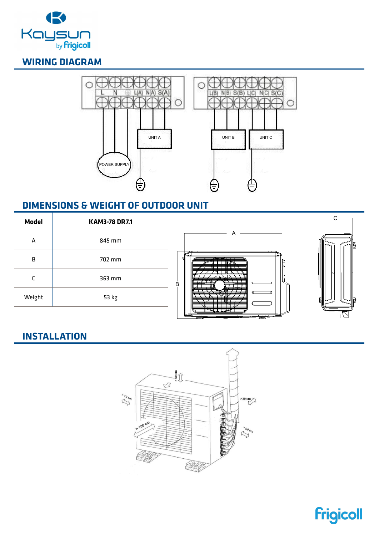



#### **DIMENSIONS & WEIGHT OF OUTDOOR UNIT**

| <b>Model</b> | <b>KAM3-78 DR7.1</b> |                                                                                                         |    |
|--------------|----------------------|---------------------------------------------------------------------------------------------------------|----|
| А            | 845 mm               |                                                                                                         | __ |
| B            | 702 mm               |                                                                                                         |    |
|              | 363 mm               | В<br>-                                                                                                  |    |
| Weight       | 53 kg                |                                                                                                         |    |
|              |                      | كالترامية والمرابط<br>$\overline{\phantom{a} \phantom{a} \phantom{a} \phantom{a} \phantom{a}}$<br>ज्ज्य |    |



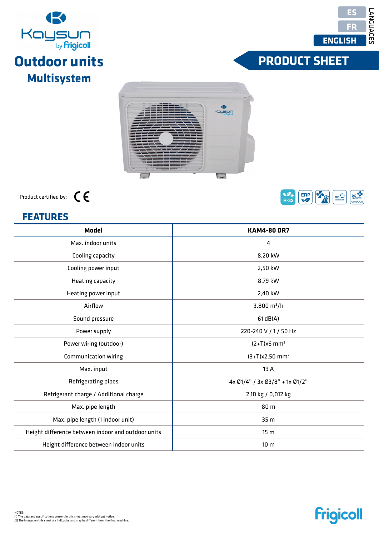| <b>FEATURES</b>                                    |                                |  |
|----------------------------------------------------|--------------------------------|--|
| <b>Model</b>                                       | <b>KAM4-80 DR7</b>             |  |
| Max. indoor units                                  | 4                              |  |
| Cooling capacity                                   | 8,20 kW                        |  |
| Cooling power input                                | 2,50 kW                        |  |
| Heating capacity                                   | 8,79 kW                        |  |
| Heating power input                                | 2,40 kW                        |  |
| Airflow                                            | 3.800 $m^3/h$                  |  |
| Sound pressure                                     | 61 dB(A)                       |  |
| Power supply                                       | 220-240 V / 1 / 50 Hz          |  |
| Power wiring (outdoor)                             | $(2+T)x6$ mm <sup>2</sup>      |  |
| Communication wiring                               | $(3+T)x2,50$ mm <sup>2</sup>   |  |
| Max. input                                         | 19 A                           |  |
| Refrigerating pipes                                | 4x Ø1/4" / 3x Ø3/8" + 1x Ø1/2" |  |
| Refrigerant charge / Additional charge             | 2,10 kg / 0,012 kg             |  |
| Max. pipe length                                   | 80 m                           |  |
| Max. pipe length (1 indoor unit)                   | 35 m                           |  |
| Height difference between indoor and outdoor units | 15 <sub>m</sub>                |  |
| Height difference between indoor units             | 10 <sub>m</sub>                |  |

**Multisystem** 

 $\overline{\phantom{0}}$ 



 $\bullet$ Kaysun

 $\Box$ 



LANGUAGES

LANGUES

IDIOMAS

**LANGUAGES** 



**Frigicoll** 

# **FRODUCT SHEET**



Product certified by: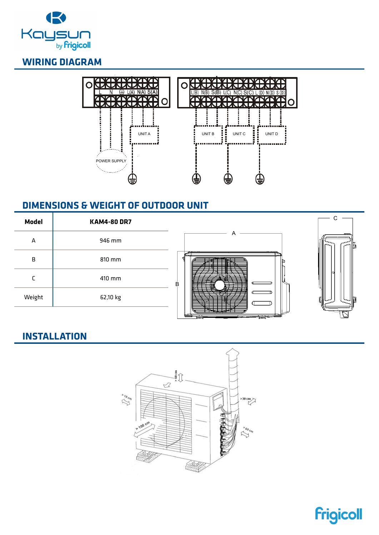



#### **DIMENSIONS & WEIGHT OF OUTDOOR UNIT**

| <b>Model</b> | <b>KAM4-80 DR7</b> |                                                |   |
|--------------|--------------------|------------------------------------------------|---|
| А            | 946 mm             |                                                | — |
| В            | 810 mm             |                                                |   |
|              | 410 mm             | В<br>--<br>— <del>.</del>                      |   |
| Weight       | 62,10 kg           |                                                |   |
|              |                    | and the contract of the contract of<br>ť<br>__ |   |



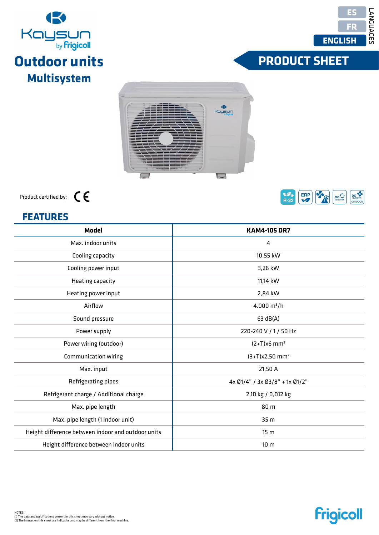| Max. indoor units                      | 4                                |
|----------------------------------------|----------------------------------|
| Cooling capacity                       | 10,55 kW                         |
| Cooling power input                    | 3,26 kW                          |
| Heating capacity                       | 11,14 kW                         |
| Heating power input                    | 2,84 kW                          |
| Airflow                                | 4.000 $m^3/h$                    |
| Sound pressure                         | 63 dB(A)                         |
| Power supply                           | 220-240 V / 1 / 50 Hz            |
| Power wiring (outdoor)                 | $(2+T)x6$ mm <sup>2</sup>        |
| Communication wiring                   | $(3+T)x2,50$ mm <sup>2</sup>     |
| Max. input                             | 21,50 A                          |
| Refrigerating pipes                    | $4x$ Ø1/4" / 3x Ø3/8" + 1x Ø1/2" |
| Refrigerant charge / Additional charge | 2,10 kg / 0,012 kg               |



**Model Modèle Modelo**

Max. pipe length Max. pipe length (1 indoor unit) Height difference between indoor and outdoor units Height difference between indoor units







# **FRODUCT SHEET**



**KAM4-105 DR7**

80 m 35 m 15 m 10 m

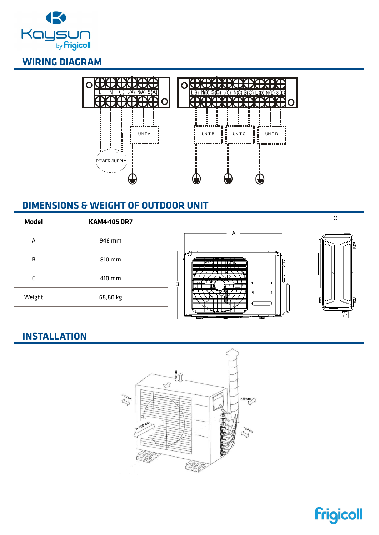



#### **DIMENSIONS & WEIGHT OF OUTDOOR UNIT**

| <b>Model</b> | <b>KAM4-105 DR7</b> |                                      |                |
|--------------|---------------------|--------------------------------------|----------------|
| A            | 946 mm              |                                      | $\overline{ }$ |
| B            | 810 mm              |                                      |                |
|              | 410 mm              | B<br>- 1<br>$\overline{\phantom{a}}$ |                |
| Weight       | 68,80 kg            |                                      |                |
|              |                     | __<br>___________                    |                |



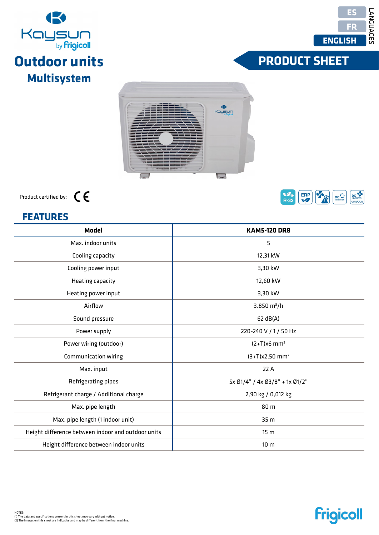| <b>FEATURES</b>                                    |                                |  |  |  |
|----------------------------------------------------|--------------------------------|--|--|--|
| <b>Model</b>                                       | <b>KAM5-120 DR8</b>            |  |  |  |
| Max. indoor units                                  | 5                              |  |  |  |
| Cooling capacity                                   | 12,31 kW                       |  |  |  |
| Cooling power input                                | 3,30 kW                        |  |  |  |
| Heating capacity                                   | 12,60 kW                       |  |  |  |
| Heating power input                                | 3,30 kW                        |  |  |  |
| Airflow                                            | 3.850 $m^3/h$                  |  |  |  |
| Sound pressure                                     | 62 dB(A)                       |  |  |  |
| Power supply                                       | 220-240 V / 1 / 50 Hz          |  |  |  |
| Power wiring (outdoor)                             | $(2+T)x6$ mm <sup>2</sup>      |  |  |  |
| Communication wiring                               | $(3+T)x2,50$ mm <sup>2</sup>   |  |  |  |
| Max. input                                         | 22 A                           |  |  |  |
| Refrigerating pipes                                | 5x Ø1/4" / 4x Ø3/8" + 1x Ø1/2" |  |  |  |
| Refrigerant charge / Additional charge             | 2,90 kg / 0,012 kg             |  |  |  |
| Max. pipe length                                   | 80 m                           |  |  |  |
| Max. pipe length (1 indoor unit)                   | 35 <sub>m</sub>                |  |  |  |
| Height difference between indoor and outdoor units | 15 <sub>m</sub>                |  |  |  |
| Height difference between indoor units             | 10 <sub>m</sub>                |  |  |  |
|                                                    |                                |  |  |  |









**Frigicoll** 

# **FRODUCT SHEET**